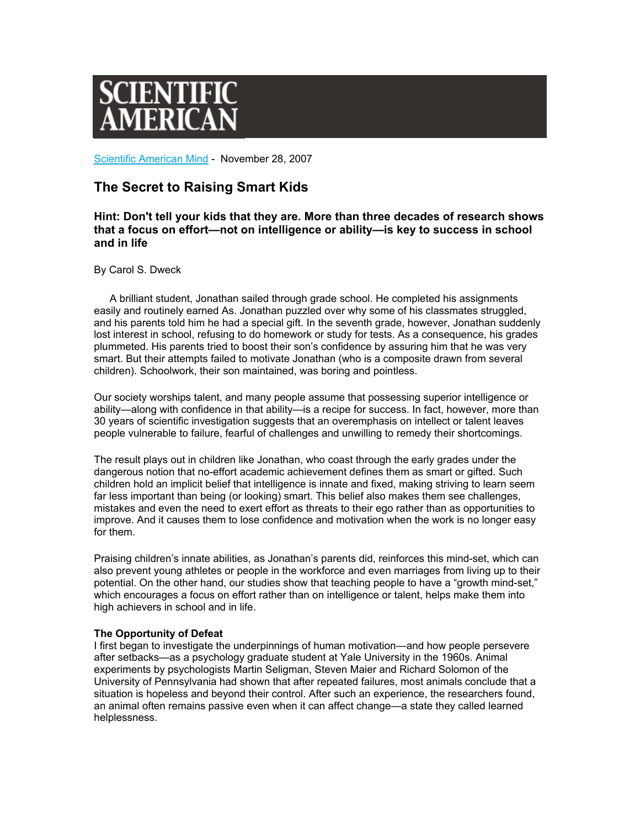# **SCIENTIFIC** AMERICAN

Scientific American Mind - November 28, 2007

## **The Secret to Raising Smart Kids**

**Hint: Don't tell your kids that they are. More than three decades of research shows that a focus on effort—not on intelligence or ability—is key to success in school and in life** 

By Carol S. Dweck

A brilliant student, Jonathan sailed through grade school. He completed his assignments easily and routinely earned As. Jonathan puzzled over why some of his classmates struggled, and his parents told him he had a special gift. In the seventh grade, however, Jonathan suddenly lost interest in school, refusing to do homework or study for tests. As a consequence, his grades plummeted. His parents tried to boost their son's confidence by assuring him that he was very smart. But their attempts failed to motivate Jonathan (who is a composite drawn from several children). Schoolwork, their son maintained, was boring and pointless.

Our society worships talent, and many people assume that possessing superior intelligence or ability—along with confidence in that ability—is a recipe for success. In fact, however, more than 30 years of scientific investigation suggests that an overemphasis on intellect or talent leaves people vulnerable to failure, fearful of challenges and unwilling to remedy their shortcomings.

The result plays out in children like Jonathan, who coast through the early grades under the dangerous notion that no-effort academic achievement defines them as smart or gifted. Such children hold an implicit belief that intelligence is innate and fixed, making striving to learn seem far less important than being (or looking) smart. This belief also makes them see challenges, mistakes and even the need to exert effort as threats to their ego rather than as opportunities to improve. And it causes them to lose confidence and motivation when the work is no longer easy for them.

Praising children's innate abilities, as Jonathan's parents did, reinforces this mind-set, which can also prevent young athletes or people in the workforce and even marriages from living up to their potential. On the other hand, our studies show that teaching people to have a "growth mind-set," which encourages a focus on effort rather than on intelligence or talent, helps make them into high achievers in school and in life.

### **The Opportunity of Defeat**

I first began to investigate the underpinnings of human motivation—and how people persevere after setbacks—as a psychology graduate student at Yale University in the 1960s. Animal experiments by psychologists Martin Seligman, Steven Maier and Richard Solomon of the University of Pennsylvania had shown that after repeated failures, most animals conclude that a situation is hopeless and beyond their control. After such an experience, the researchers found, an animal often remains passive even when it can affect change—a state they called learned helplessness.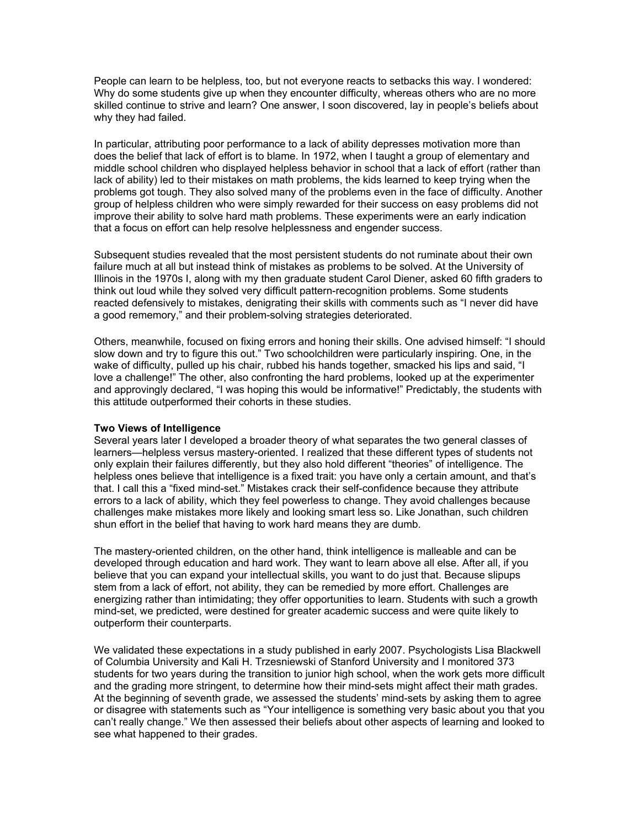People can learn to be helpless, too, but not everyone reacts to setbacks this way. I wondered: Why do some students give up when they encounter difficulty, whereas others who are no more skilled continue to strive and learn? One answer, I soon discovered, lay in people's beliefs about why they had failed.

In particular, attributing poor performance to a lack of ability depresses motivation more than does the belief that lack of effort is to blame. In 1972, when I taught a group of elementary and middle school children who displayed helpless behavior in school that a lack of effort (rather than lack of ability) led to their mistakes on math problems, the kids learned to keep trying when the problems got tough. They also solved many of the problems even in the face of difficulty. Another group of helpless children who were simply rewarded for their success on easy problems did not improve their ability to solve hard math problems. These experiments were an early indication that a focus on effort can help resolve helplessness and engender success.

Subsequent studies revealed that the most persistent students do not ruminate about their own failure much at all but instead think of mistakes as problems to be solved. At the University of Illinois in the 1970s I, along with my then graduate student Carol Diener, asked 60 fifth graders to think out loud while they solved very difficult pattern-recognition problems. Some students reacted defensively to mistakes, denigrating their skills with comments such as "I never did have a good rememory," and their problem-solving strategies deteriorated.

Others, meanwhile, focused on fixing errors and honing their skills. One advised himself: "I should slow down and try to figure this out." Two schoolchildren were particularly inspiring. One, in the wake of difficulty, pulled up his chair, rubbed his hands together, smacked his lips and said, "I love a challenge!" The other, also confronting the hard problems, looked up at the experimenter and approvingly declared, "I was hoping this would be informative!" Predictably, the students with this attitude outperformed their cohorts in these studies.

#### **Two Views of Intelligence**

Several years later I developed a broader theory of what separates the two general classes of learners—helpless versus mastery-oriented. I realized that these different types of students not only explain their failures differently, but they also hold different "theories" of intelligence. The helpless ones believe that intelligence is a fixed trait: you have only a certain amount, and that's that. I call this a "fixed mind-set." Mistakes crack their self-confidence because they attribute errors to a lack of ability, which they feel powerless to change. They avoid challenges because challenges make mistakes more likely and looking smart less so. Like Jonathan, such children shun effort in the belief that having to work hard means they are dumb.

The mastery-oriented children, on the other hand, think intelligence is malleable and can be developed through education and hard work. They want to learn above all else. After all, if you believe that you can expand your intellectual skills, you want to do just that. Because slipups stem from a lack of effort, not ability, they can be remedied by more effort. Challenges are energizing rather than intimidating; they offer opportunities to learn. Students with such a growth mind-set, we predicted, were destined for greater academic success and were quite likely to outperform their counterparts.

We validated these expectations in a study published in early 2007. Psychologists Lisa Blackwell of Columbia University and Kali H. Trzesniewski of Stanford University and I monitored 373 students for two years during the transition to junior high school, when the work gets more difficult and the grading more stringent, to determine how their mind-sets might affect their math grades. At the beginning of seventh grade, we assessed the students' mind-sets by asking them to agree or disagree with statements such as "Your intelligence is something very basic about you that you can't really change." We then assessed their beliefs about other aspects of learning and looked to see what happened to their grades.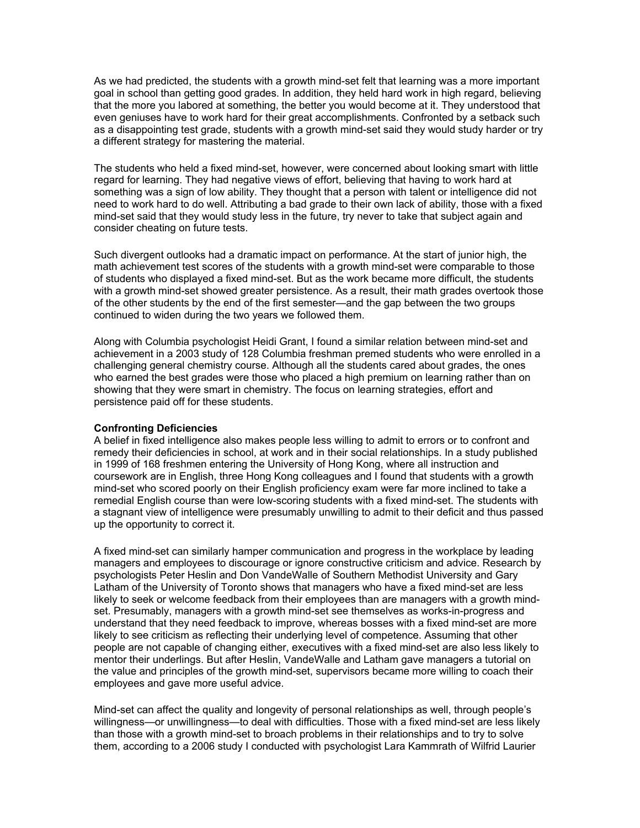As we had predicted, the students with a growth mind-set felt that learning was a more important goal in school than getting good grades. In addition, they held hard work in high regard, believing that the more you labored at something, the better you would become at it. They understood that even geniuses have to work hard for their great accomplishments. Confronted by a setback such as a disappointing test grade, students with a growth mind-set said they would study harder or try a different strategy for mastering the material.

The students who held a fixed mind-set, however, were concerned about looking smart with little regard for learning. They had negative views of effort, believing that having to work hard at something was a sign of low ability. They thought that a person with talent or intelligence did not need to work hard to do well. Attributing a bad grade to their own lack of ability, those with a fixed mind-set said that they would study less in the future, try never to take that subject again and consider cheating on future tests.

Such divergent outlooks had a dramatic impact on performance. At the start of junior high, the math achievement test scores of the students with a growth mind-set were comparable to those of students who displayed a fixed mind-set. But as the work became more difficult, the students with a growth mind-set showed greater persistence. As a result, their math grades overtook those of the other students by the end of the first semester—and the gap between the two groups continued to widen during the two years we followed them.

Along with Columbia psychologist Heidi Grant, I found a similar relation between mind-set and achievement in a 2003 study of 128 Columbia freshman premed students who were enrolled in a challenging general chemistry course. Although all the students cared about grades, the ones who earned the best grades were those who placed a high premium on learning rather than on showing that they were smart in chemistry. The focus on learning strategies, effort and persistence paid off for these students.

#### **Confronting Deficiencies**

A belief in fixed intelligence also makes people less willing to admit to errors or to confront and remedy their deficiencies in school, at work and in their social relationships. In a study published in 1999 of 168 freshmen entering the University of Hong Kong, where all instruction and coursework are in English, three Hong Kong colleagues and I found that students with a growth mind-set who scored poorly on their English proficiency exam were far more inclined to take a remedial English course than were low-scoring students with a fixed mind-set. The students with a stagnant view of intelligence were presumably unwilling to admit to their deficit and thus passed up the opportunity to correct it.

A fixed mind-set can similarly hamper communication and progress in the workplace by leading managers and employees to discourage or ignore constructive criticism and advice. Research by psychologists Peter Heslin and Don VandeWalle of Southern Methodist University and Gary Latham of the University of Toronto shows that managers who have a fixed mind-set are less likely to seek or welcome feedback from their employees than are managers with a growth mindset. Presumably, managers with a growth mind-set see themselves as works-in-progress and understand that they need feedback to improve, whereas bosses with a fixed mind-set are more likely to see criticism as reflecting their underlying level of competence. Assuming that other people are not capable of changing either, executives with a fixed mind-set are also less likely to mentor their underlings. But after Heslin, VandeWalle and Latham gave managers a tutorial on the value and principles of the growth mind-set, supervisors became more willing to coach their employees and gave more useful advice.

Mind-set can affect the quality and longevity of personal relationships as well, through people's willingness—or unwillingness—to deal with difficulties. Those with a fixed mind-set are less likely than those with a growth mind-set to broach problems in their relationships and to try to solve them, according to a 2006 study I conducted with psychologist Lara Kammrath of Wilfrid Laurier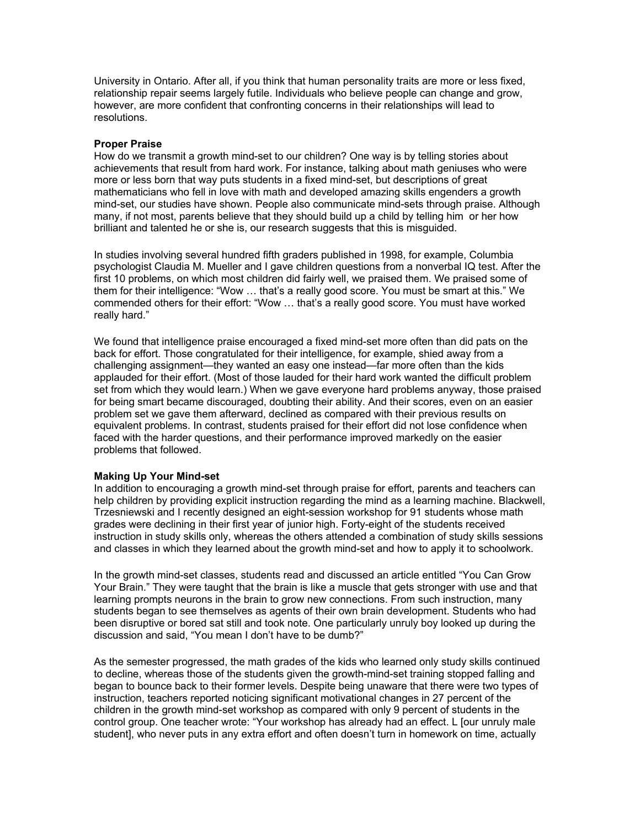University in Ontario. After all, if you think that human personality traits are more or less fixed, relationship repair seems largely futile. Individuals who believe people can change and grow, however, are more confident that confronting concerns in their relationships will lead to resolutions.

#### **Proper Praise**

How do we transmit a growth mind-set to our children? One way is by telling stories about achievements that result from hard work. For instance, talking about math geniuses who were more or less born that way puts students in a fixed mind-set, but descriptions of great mathematicians who fell in love with math and developed amazing skills engenders a growth mind-set, our studies have shown. People also communicate mind-sets through praise. Although many, if not most, parents believe that they should build up a child by telling him or her how brilliant and talented he or she is, our research suggests that this is misguided.

In studies involving several hundred fifth graders published in 1998, for example, Columbia psychologist Claudia M. Mueller and I gave children questions from a nonverbal IQ test. After the first 10 problems, on which most children did fairly well, we praised them. We praised some of them for their intelligence: "Wow … that's a really good score. You must be smart at this." We commended others for their effort: "Wow … that's a really good score. You must have worked really hard."

We found that intelligence praise encouraged a fixed mind-set more often than did pats on the back for effort. Those congratulated for their intelligence, for example, shied away from a challenging assignment—they wanted an easy one instead—far more often than the kids applauded for their effort. (Most of those lauded for their hard work wanted the difficult problem set from which they would learn.) When we gave everyone hard problems anyway, those praised for being smart became discouraged, doubting their ability. And their scores, even on an easier problem set we gave them afterward, declined as compared with their previous results on equivalent problems. In contrast, students praised for their effort did not lose confidence when faced with the harder questions, and their performance improved markedly on the easier problems that followed.

#### **Making Up Your Mind-set**

In addition to encouraging a growth mind-set through praise for effort, parents and teachers can help children by providing explicit instruction regarding the mind as a learning machine. Blackwell, Trzesniewski and I recently designed an eight-session workshop for 91 students whose math grades were declining in their first year of junior high. Forty-eight of the students received instruction in study skills only, whereas the others attended a combination of study skills sessions and classes in which they learned about the growth mind-set and how to apply it to schoolwork.

In the growth mind-set classes, students read and discussed an article entitled "You Can Grow Your Brain." They were taught that the brain is like a muscle that gets stronger with use and that learning prompts neurons in the brain to grow new connections. From such instruction, many students began to see themselves as agents of their own brain development. Students who had been disruptive or bored sat still and took note. One particularly unruly boy looked up during the discussion and said, "You mean I don't have to be dumb?"

As the semester progressed, the math grades of the kids who learned only study skills continued to decline, whereas those of the students given the growth-mind-set training stopped falling and began to bounce back to their former levels. Despite being unaware that there were two types of instruction, teachers reported noticing significant motivational changes in 27 percent of the children in the growth mind-set workshop as compared with only 9 percent of students in the control group. One teacher wrote: "Your workshop has already had an effect. L [our unruly male student], who never puts in any extra effort and often doesn't turn in homework on time, actually